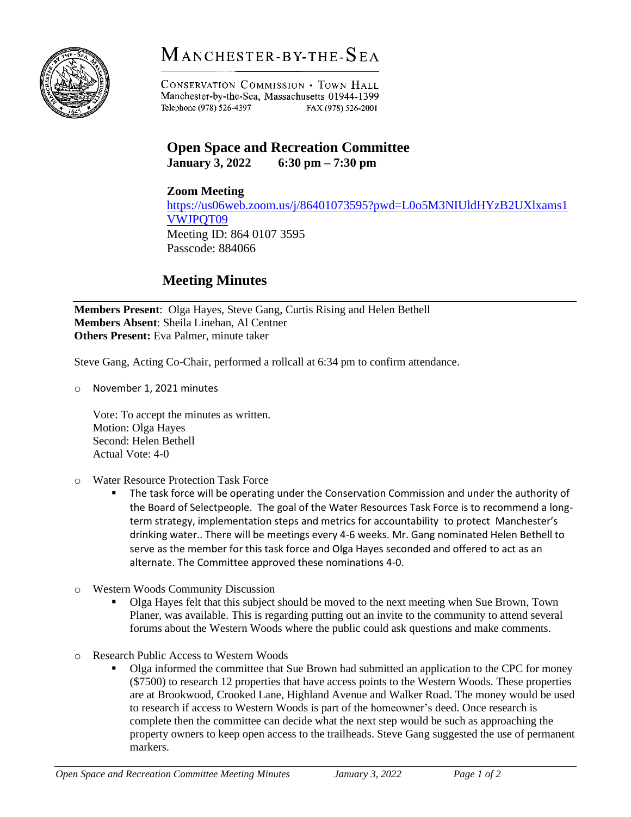

## $M$  anchester-by-the- $S$ ea

**CONSERVATION COMMISSION . TOWN HALL** Manchester-by-the-Sea, Massachusetts 01944-1399 Telephone (978) 526-4397 FAX (978) 526-2001

## **Open Space and Recreation Committee**

**January 3, 2022 6:30 pm – 7:30 pm**

**Zoom Meeting** [https://us06web.zoom.us/j/86401073595?pwd=L0o5M3NIUldHYzB2UXlxams1](https://us06web.zoom.us/j/86401073595?pwd=L0o5M3NIUldHYzB2UXlxams1VWJPQT09) [VWJPQT09](https://us06web.zoom.us/j/86401073595?pwd=L0o5M3NIUldHYzB2UXlxams1VWJPQT09) Meeting ID: 864 0107 3595 Passcode: 884066

## **Meeting Minutes**

**Members Present**: Olga Hayes, Steve Gang, Curtis Rising and Helen Bethell **Members Absent**: Sheila Linehan, Al Centner **Others Present:** Eva Palmer, minute taker

Steve Gang, Acting Co-Chair, performed a rollcall at 6:34 pm to confirm attendance.

o November 1, 2021 minutes

Vote: To accept the minutes as written. Motion: Olga Hayes Second: Helen Bethell Actual Vote: 4-0

- o Water Resource Protection Task Force
	- The task force will be operating under the Conservation Commission and under the authority of the Board of Selectpeople. The goal of the Water Resources Task Force is to recommend a longterm strategy, implementation steps and metrics for accountability to protect Manchester's drinking water.. There will be meetings every 4-6 weeks. Mr. Gang nominated Helen Bethell to serve as the member for this task force and Olga Hayes seconded and offered to act as an alternate. The Committee approved these nominations 4-0.
- o Western Woods Community Discussion
	- Olga Hayes felt that this subject should be moved to the next meeting when Sue Brown. Town Planer, was available. This is regarding putting out an invite to the community to attend several forums about the Western Woods where the public could ask questions and make comments.
- o Research Public Access to Western Woods
	- Olga informed the committee that Sue Brown had submitted an application to the CPC for money (\$7500) to research 12 properties that have access points to the Western Woods. These properties are at Brookwood, Crooked Lane, Highland Avenue and Walker Road. The money would be used to research if access to Western Woods is part of the homeowner's deed. Once research is complete then the committee can decide what the next step would be such as approaching the property owners to keep open access to the trailheads. Steve Gang suggested the use of permanent markers.